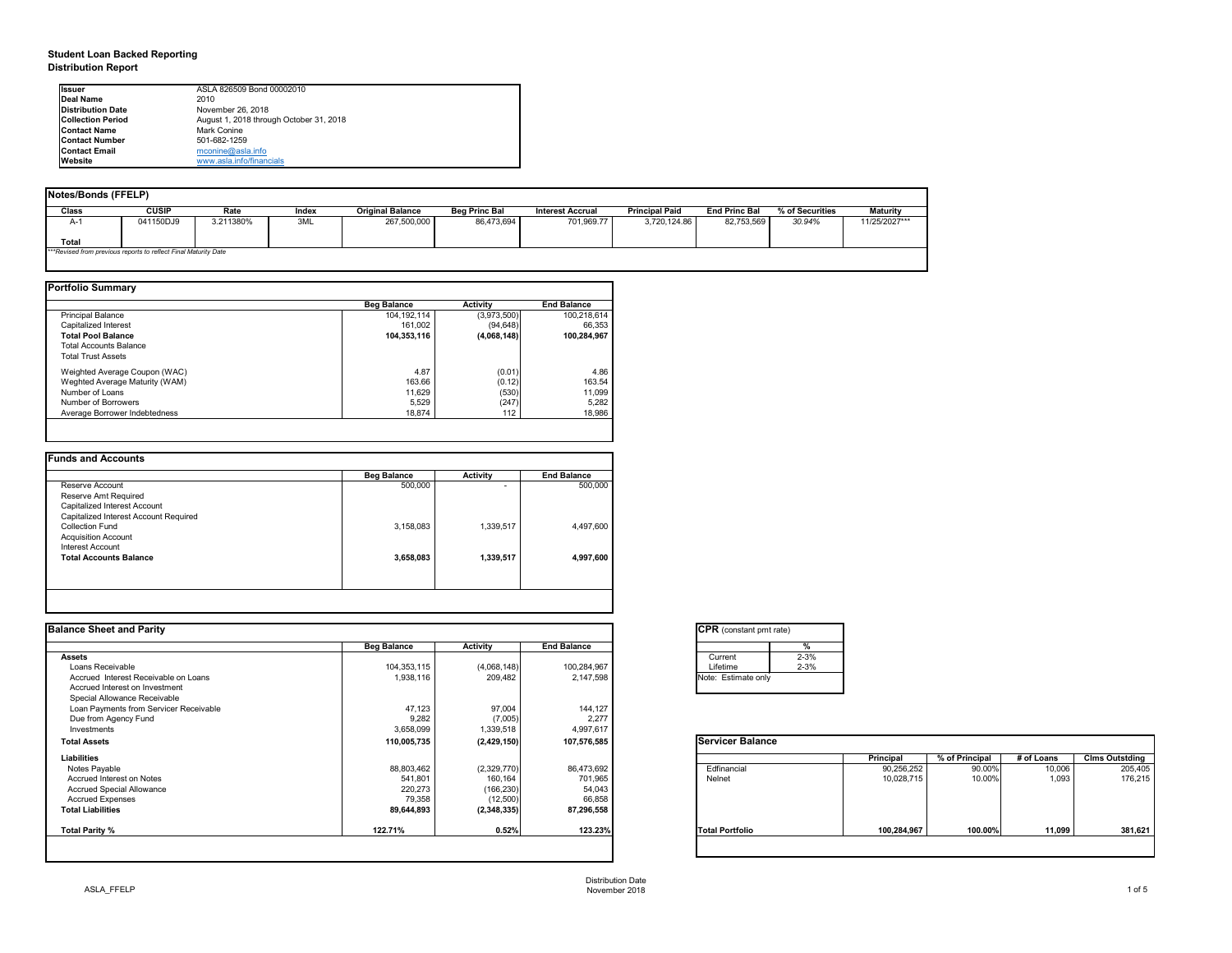## **Student Loan Backed Reporting Distribution Report**

| <b>Notes/Bonds (FFELP)</b> |                                                                 |           |       |                         |                      |                         |                       |                      |                 |                 |
|----------------------------|-----------------------------------------------------------------|-----------|-------|-------------------------|----------------------|-------------------------|-----------------------|----------------------|-----------------|-----------------|
| <b>Class</b>               | <b>CUSIP</b>                                                    | Rate      | Index | <b>Original Balance</b> | <b>Beg Princ Bal</b> | <b>Interest Accrual</b> | <b>Principal Paid</b> | <b>End Princ Bal</b> | % of Securities | <b>Maturity</b> |
| A-1                        | 041150DJ9                                                       | 3.211380% | 3ML   | 267,500,000             | 86,473,694           | 701,969.77              | 3,720,124.86          | 82,753,569           | 30.94%          | 11/25/2027***   |
| Total                      |                                                                 |           |       |                         |                      |                         |                       |                      |                 |                 |
|                            | ***Revised from previous reports to reflect Final Maturity Date |           |       |                         |                      |                         |                       |                      |                 |                 |

| <b>Portfolio Summary</b>       |                    |                 |                    |
|--------------------------------|--------------------|-----------------|--------------------|
|                                | <b>Beg Balance</b> | <b>Activity</b> | <b>End Balance</b> |
| <b>Principal Balance</b>       | 104, 192, 114      | (3,973,500)     | 100,218,614        |
| Capitalized Interest           | 161,002            | (94, 648)       | 66,353             |
| <b>Total Pool Balance</b>      | 104,353,116        | (4,068,148)     | 100,284,967        |
| <b>Total Accounts Balance</b>  |                    |                 |                    |
| <b>Total Trust Assets</b>      |                    |                 |                    |
| Weighted Average Coupon (WAC)  | 4.87               | (0.01)          | 4.86               |
| Weghted Average Maturity (WAM) | 163.66             | (0.12)          | 163.54             |
| Number of Loans                | 11,629             | (530)           | 11,099             |
| Number of Borrowers            | 5,529              | (247)           | 5,282              |
| Average Borrower Indebtedness  | 18,874             | 112             | 18,986             |

| <b>Beg Balance</b> | <b>Activity</b> | <b>End Balance</b> |
|--------------------|-----------------|--------------------|
| 500,000            | $\blacksquare$  | 500,000            |
|                    |                 |                    |
|                    |                 |                    |
|                    |                 |                    |
| 3,158,083          | 1,339,517       | 4,497,600          |
|                    |                 |                    |
|                    |                 |                    |
| 3,658,083          | 1,339,517       | 4,997,600          |
|                    |                 |                    |
|                    |                 |                    |
|                    |                 |                    |

| Ilssuer                   | ASLA 826509 Bond 00002010               |
|---------------------------|-----------------------------------------|
| Deal Name                 | 2010                                    |
| <b>IDistribution Date</b> | November 26, 2018                       |
| <b>ICollection Period</b> | August 1, 2018 through October 31, 2018 |
| <b>IContact Name</b>      | Mark Conine                             |
| <b>IContact Number</b>    | 501-682-1259                            |
| <b>IContact Email</b>     | $m$ conine@asla.info                    |
| <b>Website</b>            | www.asla.info/financials                |

| <b>Balance Sheet and Parity</b>        |                    |                 |                    | <b>CPR</b> (constant pmt rate) |                  |                |            |                       |
|----------------------------------------|--------------------|-----------------|--------------------|--------------------------------|------------------|----------------|------------|-----------------------|
|                                        | <b>Beg Balance</b> | <b>Activity</b> | <b>End Balance</b> | %                              |                  |                |            |                       |
| <b>Assets</b>                          |                    |                 |                    | $2 - 3%$<br>Current            |                  |                |            |                       |
| Loans Receivable                       | 104,353,115        | (4,068,148)     | 100,284,967        | $2 - 3%$<br>Lifetime           |                  |                |            |                       |
| Accrued Interest Receivable on Loans   | 1,938,116          | 209,482         | 2,147,598          | Note: Estimate only            |                  |                |            |                       |
| Accrued Interest on Investment         |                    |                 |                    |                                |                  |                |            |                       |
| Special Allowance Receivable           |                    |                 |                    |                                |                  |                |            |                       |
| Loan Payments from Servicer Receivable | 47,123             | 97,004          | 144,127            |                                |                  |                |            |                       |
| Due from Agency Fund                   | 9,282              | (7,005)         | 2,277              |                                |                  |                |            |                       |
| Investments                            | 3,658,099          | 1,339,518       | 4,997,617          |                                |                  |                |            |                       |
| <b>Total Assets</b>                    | 110,005,735        | (2,429,150)     | 107,576,585        | <b>Servicer Balance</b>        |                  |                |            |                       |
| <b>Liabilities</b>                     |                    |                 |                    |                                | <b>Principal</b> | % of Principal | # of Loans | <b>Clms Outstding</b> |
| Notes Payable                          | 88,803,462         | (2,329,770)     | 86,473,692         | Edfinancial                    | 90,256,252       | 90.00%         | 10,006     | 205,405               |
| Accrued Interest on Notes              | 541,801            | 160,164         | 701,965            | Nelnet                         | 10,028,715       | 10.00%         | 1,093      | 176,215               |
| <b>Accrued Special Allowance</b>       | 220,273            | (166, 230)      | 54,043             |                                |                  |                |            |                       |
| <b>Accrued Expenses</b>                | 79,358             | (12,500)        | 66,858             |                                |                  |                |            |                       |
| <b>Total Liabilities</b>               | 89,644,893         | (2,348,335)     | 87,296,558         |                                |                  |                |            |                       |
| Total Parity %                         | 122.71%            | 0.52%           | 123.23%            | <b>Total Portfolio</b>         | 100,284,967      | 100.00%        | 11,099     | 381,621               |

| CPR (cons   |          |  |  |  |  |  |  |  |
|-------------|----------|--|--|--|--|--|--|--|
|             |          |  |  |  |  |  |  |  |
|             | Current  |  |  |  |  |  |  |  |
|             | Lifetime |  |  |  |  |  |  |  |
| Note: Estin |          |  |  |  |  |  |  |  |
|             |          |  |  |  |  |  |  |  |

| tant pmt rate) |          |
|----------------|----------|
|                | %        |
|                | $2 - 3%$ |
|                | $2 - 3%$ |
| ate only       |          |
|                |          |

| <b>Balance</b> |                  |                |            |                       |
|----------------|------------------|----------------|------------|-----------------------|
|                | <b>Principal</b> | % of Principal | # of Loans | <b>Clms Outstding</b> |
|                | 90,256,252       | 90.00%         | 10,006     | 205,405               |
|                | 10,028,715       | 10.00%         | 1,093      | 176,215               |
| lio            | 100,284,967      | 100.00%        | 11,099     | 381,621               |
|                |                  |                |            |                       |

Distribution Date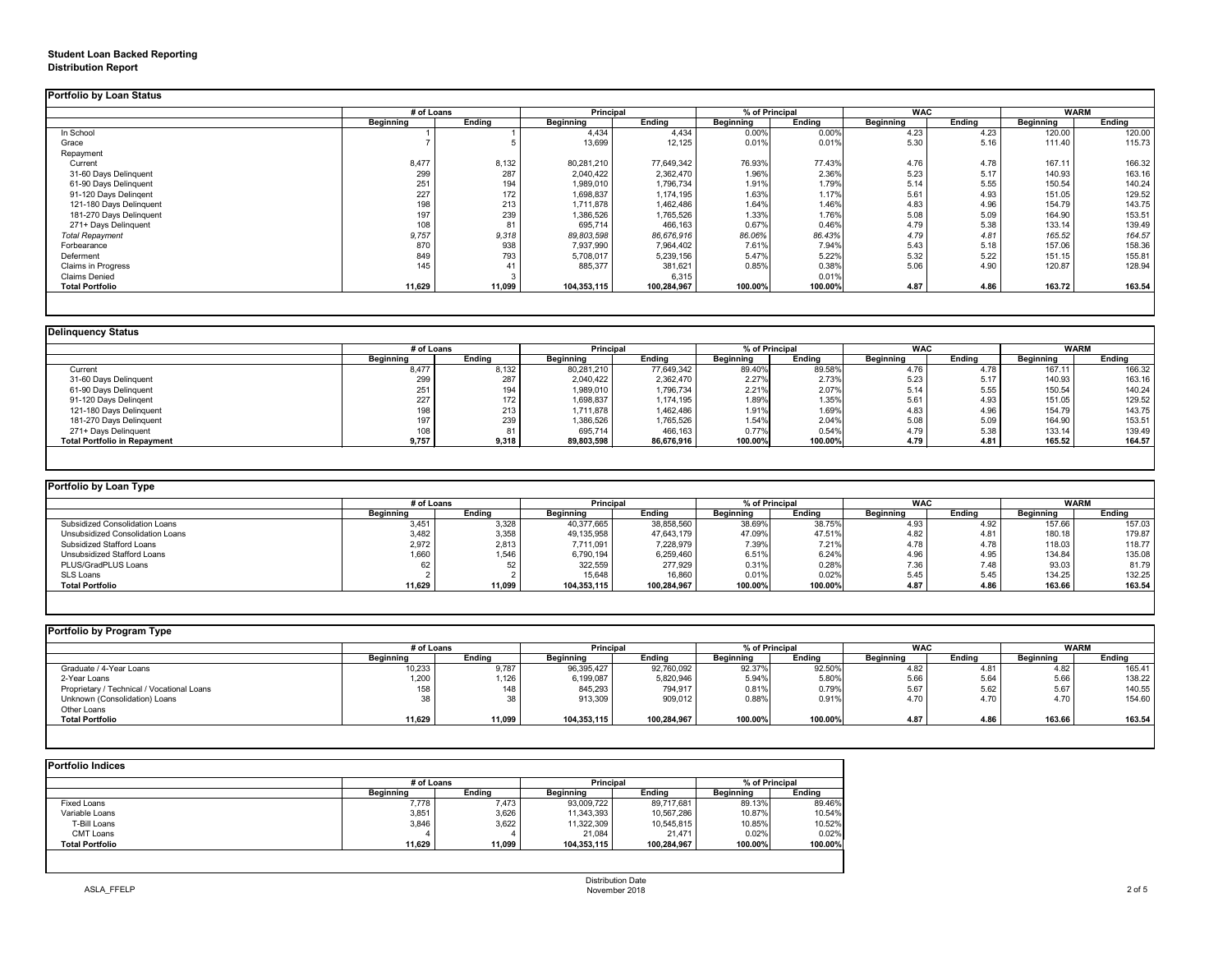# **Student Loan Backed Reporting Distribution Report**

### **Delinquency Status**

|                           | # of Loans       |               |                  | <b>Principal</b> |                  | % of Principal |                  | <b>WAC</b>    |                  | <b>WARM</b>   |  |
|---------------------------|------------------|---------------|------------------|------------------|------------------|----------------|------------------|---------------|------------------|---------------|--|
|                           | <b>Beginning</b> | <b>Ending</b> | <b>Beginning</b> | <b>Ending</b>    | <b>Beginning</b> | <b>Ending</b>  | <b>Beginning</b> | <b>Ending</b> | <b>Beginning</b> | <b>Ending</b> |  |
| In School                 |                  |               | 4,434            | 4,434            | 0.00%            | 0.00%          | 4.23             | 4.23          | 120.00           | 120.00        |  |
| Grace                     |                  |               | 13,699           | 12,125           | 0.01%            | 0.01%          | 5.30             | 5.16          | 111.40           | 115.73        |  |
| Repayment                 |                  |               |                  |                  |                  |                |                  |               |                  |               |  |
| Current                   | 8,477            | 8,132         | 80,281,210       | 77,649,342       | 76.93%           | 77.43%         | 4.76             | 4.78          | 167.11           | 166.32        |  |
| 31-60 Days Delinquent     | 299              | 287           | 2,040,422        | 2,362,470        | 1.96%            | 2.36%          | 5.23             | 5.17          | 140.93           | 163.16        |  |
| 61-90 Days Delinquent     | 251              | 194           | 1,989,010        | 1,796,734        | 1.91%            | 1.79%          | 5.14             | 5.55          | 150.54           | 140.24        |  |
| 91-120 Days Delingent     | 227              | 172           | 1,698,837        | 1,174,195        | 1.63%            | 1.17%          | 5.61             | 4.93          | 151.05           | 129.52        |  |
| 121-180 Days Delinquent   | 198              | 213           | 1,711,878        | 1,462,486        | 1.64%            | 1.46%          | 4.83             | 4.96          | 154.79           | 143.75        |  |
| 181-270 Days Delinquent   | 197              | 239           | 1,386,526        | 1,765,526        | 1.33%            | 1.76%          | 5.08             | 5.09          | 164.90           | 153.51        |  |
| 271+ Days Delinquent      | 108              | 81            | 695,714          | 466,163          | 0.67%            | 0.46%          | 4.79             | 5.38          | 133.14           | 139.49        |  |
| <b>Total Repayment</b>    | 9,757            | 9,318         | 89,803,598       | 86,676,916       | 86.06%           | 86.43%         | 4.79             | 4.81          | 165.52           | 164.57        |  |
| Forbearance               | 870              | 938           | 7,937,990        | 7,964,402        | 7.61%            | 7.94%          | 5.43             | 5.18          | 157.06           | 158.36        |  |
| Deferment                 | 849              | 793           | 5,708,017        | 5,239,156        | 5.47%            | 5.22%          | 5.32             | 5.22          | 151.15           | 155.81        |  |
| <b>Claims in Progress</b> | 145              |               | 885,377          | 381,621          | 0.85%            | 0.38%          | 5.06             | 4.90          | 120.87           | 128.94        |  |
| <b>Claims Denied</b>      |                  |               |                  | 6,315            |                  | 0.01%          |                  |               |                  |               |  |
| <b>Total Portfolio</b>    | 11,629           | 11,099        | 104,353,115      | 100,284,967      | 100.00%          | 100.00%        | 4.87             | 4.86          | 163.72           | 163.54        |  |

|                                     |                  | # of Loans    |                  | <b>Principal</b> |                  | % of Principal |                  | <b>WAC</b>    |                  | <b>WARM</b>   |  |
|-------------------------------------|------------------|---------------|------------------|------------------|------------------|----------------|------------------|---------------|------------------|---------------|--|
|                                     | <b>Beginning</b> | <b>Ending</b> | <b>Beginning</b> | <b>Ending</b>    | <b>Beginning</b> | Ending         | <b>Beginning</b> | <b>Ending</b> | <b>Beginning</b> | <b>Ending</b> |  |
| Current                             | 8,477            | 8,132         | 80,281,210       | 77,649,342       | 89.40%           | 89.58%         | 4.76             | 4.78          | 167.11           | 166.32        |  |
| 31-60 Days Delinquent               | 299              | 287           | 2,040,422        | 2,362,470        | 2.27%            | 2.73%          | 5.23             | 5.17          | 140.93           | 163.16        |  |
| 61-90 Days Delinquent               | 251              | 194           | 1,989,010        | 1,796,734        | 2.21%            | 2.07%          | 5.14             | 5.55          | 150.54           | 140.24        |  |
| 91-120 Days Delinqent               | 227              | 172           | 1,698,837        | 1,174,195        | 1.89%            | 1.35%          | 5.61             | 4.93          | 151.05           | 129.52        |  |
| 121-180 Days Delinquent             | 198              | 213           | 1,711,878        | 1,462,486        | 1.91%            | 1.69%          | 4.83             | 4.96          | 154.79           | 143.75        |  |
| 181-270 Days Delinquent             | 197              | 239           | ,386,526         | 1,765,526        | 1.54%            | 2.04%          | 5.08             | 5.09          | 164.90           | 153.51        |  |
| 271+ Days Delinquent                | 108              |               | 695,714          | 466,163          | 0.77%            | 0.54%          | 4.79             | 5.38          | 133.14           | 139.49        |  |
| <b>Total Portfolio in Repayment</b> | 9,757            | 9,318         | 89,803,598       | 86,676,916       | 100.00%          | 100.00%        | 4.79             | 4.81          | 165.52           | 164.57        |  |

| <b>Portfolio by Loan Type</b>           |                  |            |                  |                  |                  |                |                  |            |                  |               |
|-----------------------------------------|------------------|------------|------------------|------------------|------------------|----------------|------------------|------------|------------------|---------------|
|                                         |                  | # of Loans |                  | <b>Principal</b> |                  | % of Principal |                  | <b>WAC</b> | WARM             |               |
|                                         | <b>Beginning</b> | Ending     | <b>Beginning</b> | <b>Ending</b>    | <b>Beginning</b> | Ending         | <b>Beginning</b> | Ending     | <b>Beginning</b> | <b>Ending</b> |
| <b>Subsidized Consolidation Loans</b>   | 3,451            | 3,328      | 40,377,665       | 38,858,560       | 38.69%           | 38.75%         | 4.93             | 4.92       | 157.66           | 157.03        |
| <b>Unsubsidized Consolidation Loans</b> | 3,482            | 3,358      | 49,135,958       | 47,643,179       | 47.09%           | 47.51%         | 4.82             | 4.81       | 180.18           | 179.87        |
| <b>Subsidized Stafford Loans</b>        | 2,972            | 2,813      | 7,711,091        | 7,228,979        | 7.39%            | 7.21%          | 4.78             | 4.78       | 118.03           | 118.77        |
| Unsubsidized Stafford Loans             | 1,660            | 1,546      | 6,790,194        | 6,259,460        | 6.51%            | 6.24%          | 4.96             | 4.95       | 134.84           | 135.08        |
| PLUS/GradPLUS Loans                     | 62               |            | 322,559          | 277,929          | 0.31%            | 0.28%          | 7.36             | 7.48       | 93.03            | 81.79         |
| SLS Loans                               |                  |            | 15,648           | 16,860           | 0.01%            | 0.02%          | 5.45             | 5.45       | 134.25           | 132.25        |
| <b>Total Portfolio</b>                  | 11,629           | 11,099     | 104,353,115      | 100,284,967      | 100.00%          | 100.00%        | 4.87             | 4.86       | 163.66           | 163.54        |
|                                         |                  |            |                  |                  |                  |                |                  |            |                  |               |

| Portfolio by Program Type                  |                  |        |                  |               |                  |               |                  |               |                  |               |
|--------------------------------------------|------------------|--------|------------------|---------------|------------------|---------------|------------------|---------------|------------------|---------------|
|                                            | # of Loans       |        | <b>Principal</b> |               | % of Principal   |               | <b>WAC</b>       |               | <b>WARM</b>      |               |
|                                            | <b>Beginning</b> | Ending | <b>Beginning</b> | <b>Ending</b> | <b>Beginning</b> | <b>Ending</b> | <b>Beginning</b> | <b>Ending</b> | <b>Beginning</b> | <b>Ending</b> |
| Graduate / 4-Year Loans                    | 10,233           | 9,787  | 96,395,427       | 92,760,092    | 92.37%           | 92.50%        | 4.82             | 4.81          | 4.82             | 165.41        |
| 2-Year Loans                               | 1,200            | 1,126  | 6,199,087        | 5,820,946     | 5.94%            | 5.80%         | 5.66             | 5.64          | 5.66             | 138.22        |
| Proprietary / Technical / Vocational Loans | 158              | 148    | 845,293          | 794,917       | 0.81%            | 0.79%         | 5.67             | 5.62          | 5.67             | 140.55        |
| Unknown (Consolidation) Loans              | 38               | 38     | 913,309          | 909,012       | 0.88%            | 0.91%         | 4.70             | 4.70          | 4.70             | 154.60        |
| Other Loans                                |                  |        |                  |               |                  |               |                  |               |                  |               |
| <b>Total Portfolio</b>                     | 11,629           | 11,099 | 104,353,115      | 100,284,967   | 100.00%          | 100.00%       | 4.87             | 4.86          | 163.66           | 163.54        |
|                                            |                  |        |                  |               |                  |               |                  |               |                  |               |

|                    |                  | # of Loans    |                  | <b>Principal</b> |                  | % of Principal |  |
|--------------------|------------------|---------------|------------------|------------------|------------------|----------------|--|
|                    | <b>Beginning</b> | <b>Ending</b> | <b>Beginning</b> | <b>Ending</b>    | <b>Beginning</b> | <b>Ending</b>  |  |
| <b>Fixed Loans</b> | 7,778            | 7,473         | 93,009,722       | 89,717,681       | 89.13%           | 89.46%         |  |
| Variable Loans     | 3,851            | 3,626         | 11,343,393       | 10,567,286       | 10.87%           | 10.54%         |  |
| T-Bill Loans       | 3,846            | 3,622         | 11,322,309       | 10,545,815       | 10.85%           | 10.52%         |  |
| <b>CMT Loans</b>   |                  |               | 21,084           | 21,471           | 0.02%            | 0.02%          |  |
| Total Portfolio    | 11,629           | 11,099        | 104,353,115      | 100,284,967      | 100.00%          | 100.00%        |  |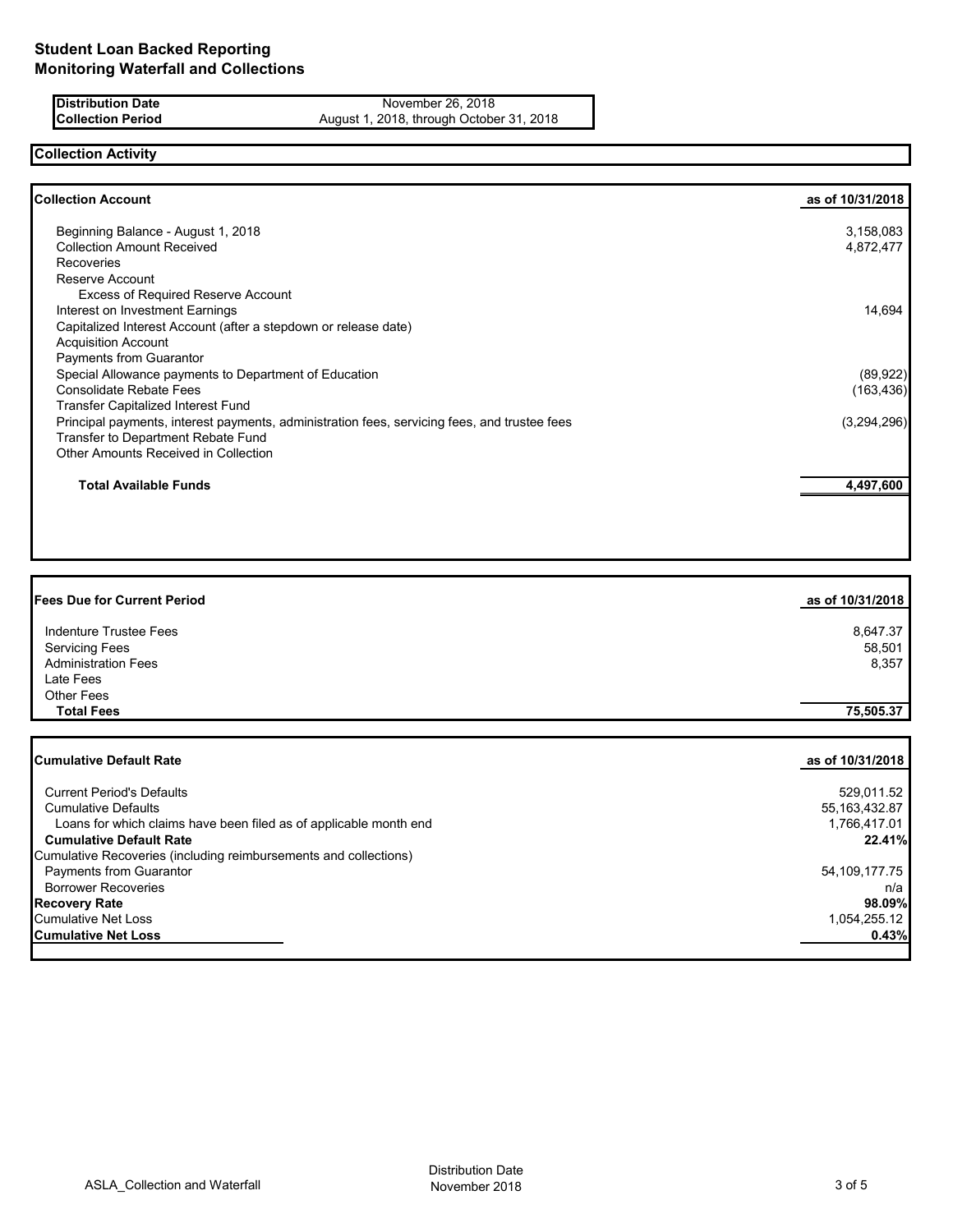**Distribution Date** November 26, 2018<br>**Collection Period** August 1, 2018, through Octobe August 1, 2018, through October 31, 2018

# **Collection Activity**

| as of 10/31/2018 |
|------------------|
| 3,158,083        |
| 4,872,477        |
|                  |
|                  |
|                  |
| 14,694           |
|                  |
|                  |
|                  |
| (89, 922)        |
| (163, 436)       |
|                  |
| (3,294,296)      |
|                  |
|                  |
| 4,497,600        |
|                  |

| <b>Fees Due for Current Period</b>                                | as of 10/31/2018 |
|-------------------------------------------------------------------|------------------|
| <b>Indenture Trustee Fees</b>                                     | 8,647.37         |
| <b>Servicing Fees</b>                                             | 58,501           |
| <b>Administration Fees</b>                                        | 8,357            |
| Late Fees                                                         |                  |
| Other Fees                                                        |                  |
| <b>Total Fees</b>                                                 | 75,505.37        |
|                                                                   |                  |
| <b>Cumulative Default Rate</b>                                    | as of 10/31/2018 |
| <b>Current Period's Defaults</b>                                  | 529,011.52       |
| <b>Cumulative Defaults</b>                                        | 55, 163, 432.87  |
| Loans for which claims have been filed as of applicable month end | 1,766,417.01     |
| <b>Cumulative Default Rate</b>                                    | 22.41%           |

| Cumulative Recoveries (including reimbursements and collections) |               |
|------------------------------------------------------------------|---------------|
| <b>Payments from Guarantor</b>                                   | 54,109,177.75 |
| <b>Borrower Recoveries</b>                                       | n/a           |
| <b>Recovery Rate</b>                                             | 98.09%        |
| <b>Cumulative Net Loss</b>                                       | 1,054,255.12  |
| <b>Cumulative Net Loss</b>                                       | 0.43%         |
|                                                                  |               |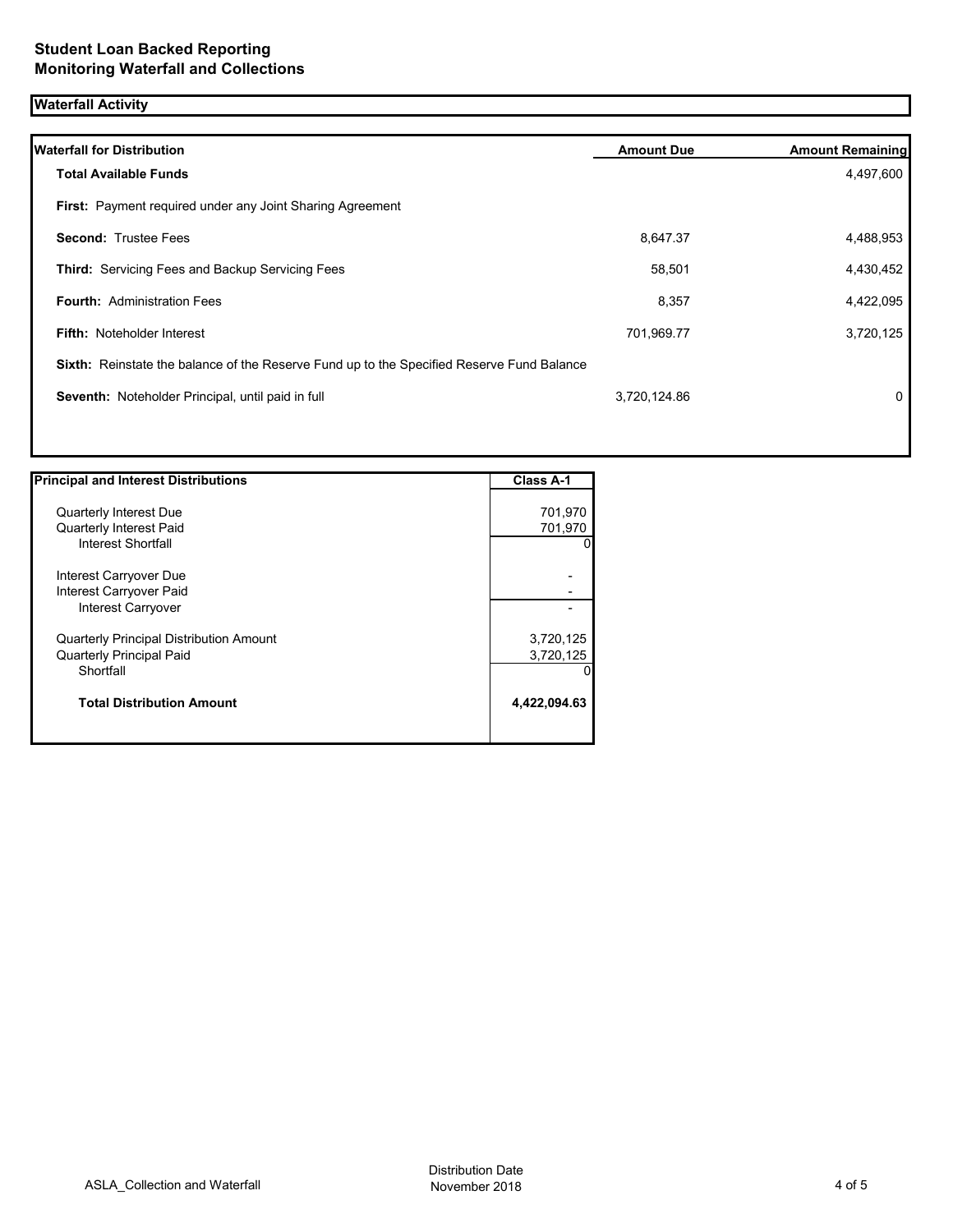# **Waterfall Activity**

|                                                                                           | 4,497,600 |
|-------------------------------------------------------------------------------------------|-----------|
|                                                                                           |           |
|                                                                                           |           |
| 8,647.37                                                                                  | 4,488,953 |
| 58,501                                                                                    | 4,430,452 |
| 8,357                                                                                     | 4,422,095 |
| 701,969.77                                                                                | 3,720,125 |
| Sixth: Reinstate the balance of the Reserve Fund up to the Specified Reserve Fund Balance |           |
| 3,720,124.86                                                                              | 0         |
|                                                                                           |           |

| <b>Principal and Interest Distributions</b>    | <b>Class A-1</b> |
|------------------------------------------------|------------------|
|                                                |                  |
| <b>Quarterly Interest Due</b>                  | 701,970          |
| <b>Quarterly Interest Paid</b>                 | 701,970          |
| Interest Shortfall                             |                  |
| Interest Carryover Due                         |                  |
| Interest Carryover Paid                        |                  |
| Interest Carryover                             |                  |
| <b>Quarterly Principal Distribution Amount</b> | 3,720,125        |
| <b>Quarterly Principal Paid</b>                | 3,720,125        |
| Shortfall                                      |                  |
| <b>Total Distribution Amount</b>               | 4,422,094.63     |
|                                                |                  |